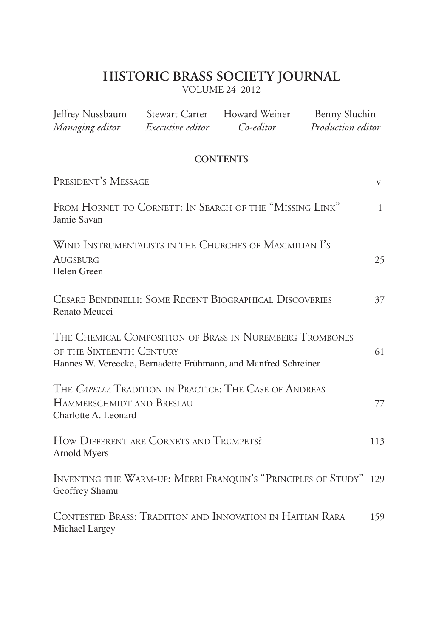# **HISTORIC BRASS SOCIETY JOURNAL**

VOLUME 24 2012

| Jeffrey Nussbaum<br>Managing editor                                                                                                                    | <b>Stewart Carter</b><br>Executive editor | Howard Weiner<br>Co-editor | Benny Sluchin<br>Production editor |              |
|--------------------------------------------------------------------------------------------------------------------------------------------------------|-------------------------------------------|----------------------------|------------------------------------|--------------|
|                                                                                                                                                        |                                           | <b>CONTENTS</b>            |                                    |              |
| PRESIDENT'S MESSAGE                                                                                                                                    |                                           |                            |                                    | V            |
| FROM HORNET TO CORNETT: IN SEARCH OF THE "MISSING LINK"<br>Jamie Savan                                                                                 |                                           |                            |                                    | $\mathbf{1}$ |
| WIND INSTRUMENTALISTS IN THE CHURCHES OF MAXIMILIAN I'S<br>AUGSBURG<br>Helen Green                                                                     |                                           |                            |                                    | 25           |
| CESARE BENDINELLI: SOME RECENT BIOGRAPHICAL DISCOVERIES<br>Renato Meucci                                                                               |                                           |                            |                                    | 37           |
| THE CHEMICAL COMPOSITION OF BRASS IN NUREMBERG TROMBONES<br>OF THE SIXTEENTH CENTURY<br>Hannes W. Vereecke, Bernadette Frühmann, and Manfred Schreiner |                                           |                            |                                    | 61           |
| THE CAPELLA TRADITION IN PRACTICE: THE CASE OF ANDREAS<br>HAMMERSCHMIDT AND BRESLAU<br>Charlotte A. Leonard                                            |                                           |                            |                                    | 77           |
| HOW DIFFERENT ARE CORNETS AND TRUMPETS?<br>Arnold Myers                                                                                                |                                           |                            |                                    | 113          |
| INVENTING THE WARM-UP: MERRI FRANQUIN'S "PRINCIPLES OF STUDY"<br>Geoffrey Shamu                                                                        |                                           |                            |                                    | 129          |
| CONTESTED BRASS: TRADITION AND INNOVATION IN HAITIAN RARA<br>Michael Largey                                                                            |                                           |                            | 159                                |              |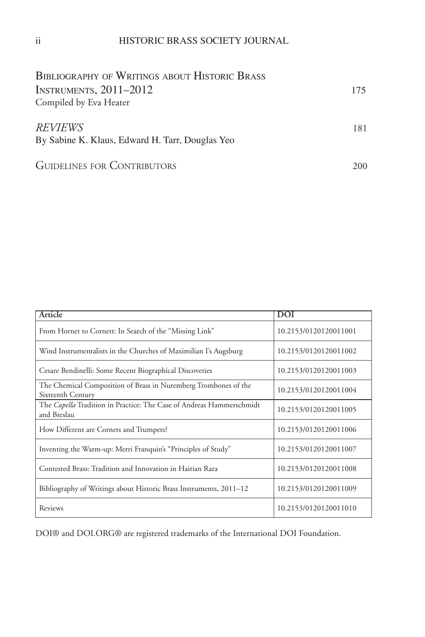| <b>BIBLIOGRAPHY OF WRITINGS ABOUT HISTORIC BRASS</b>       |     |
|------------------------------------------------------------|-----|
| INSTRUMENTS, $2011-2012$                                   | 175 |
| Compiled by Eva Heater                                     |     |
| REVIEWS<br>By Sabine K. Klaus, Edward H. Tarr, Douglas Yeo | 181 |
| <b>GUIDELINES FOR CONTRIBUTORS</b>                         | 200 |

| Article                                                                              | <b>DOI</b>            |
|--------------------------------------------------------------------------------------|-----------------------|
| From Hornet to Cornett: In Search of the "Missing Link"                              | 10.2153/0120120011001 |
| Wind Instrumentalists in the Churches of Maximilian I's Augsburg                     | 10.2153/0120120011002 |
| Cesare Bendinelli: Some Recent Biographical Discoveries                              | 10.2153/0120120011003 |
| The Chemical Composition of Brass in Nuremberg Trombones of the<br>Sixteenth Century | 10.2153/0120120011004 |
| The Capella Tradition in Practice: The Case of Andreas Hammerschmidt<br>and Breslau  | 10.2153/0120120011005 |
| How Different are Cornets and Trumpets?                                              | 10.2153/0120120011006 |
| Inventing the Warm-up: Merri Franquin's "Principles of Study"                        | 10.2153/0120120011007 |
| Contested Brass: Tradition and Innovation in Haitian Rara                            | 10.2153/0120120011008 |
| Bibliography of Writings about Historic Brass Instruments, 2011–12                   | 10.2153/0120120011009 |
| Reviews                                                                              | 10.2153/0120120011010 |

DOI® and DOI.ORG® are registered trademarks of the International DOI Foundation.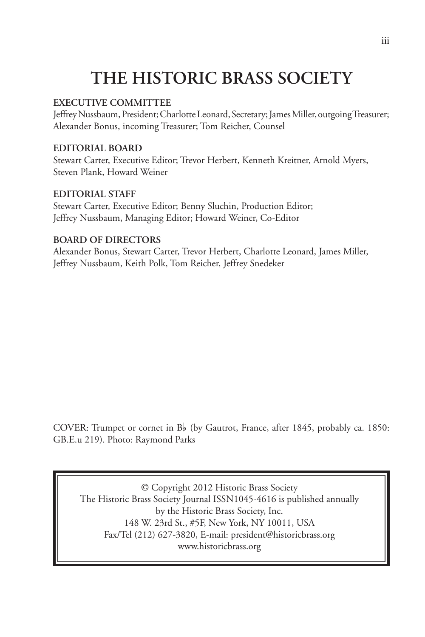# **THE HISTORIC BRASS SOCIETY**

### **EXECUTIVE COMMITTEE**

Jeffrey Nussbaum, President; Charlotte Leonard, Secretary; James Miller, outgoing Treasurer; Alexander Bonus, incoming Treasurer; Tom Reicher, Counsel

### **EDITORIAL BOARD**

Stewart Carter, Executive Editor; Trevor Herbert, Kenneth Kreitner, Arnold Myers, Steven Plank, Howard Weiner

### **EDITORIAL STAFF**

Stewart Carter, Executive Editor; Benny Sluchin, Production Editor; Jeffrey Nussbaum, Managing Editor; Howard Weiner, Co-Editor

### **BOARD OF DIRECTORS**

Alexander Bonus, Stewart Carter, Trevor Herbert, Charlotte Leonard, James Miller, Jeffrey Nussbaum, Keith Polk, Tom Reicher, Jeffrey Snedeker

COVER: Trumpet or cornet in B<sub>p</sub> (by Gautrot, France, after 1845, probably ca. 1850: GB.E.u 219). Photo: Raymond Parks

© Copyright 2012 Historic Brass Society The Historic Brass Society Journal ISSN1045-4616 is published annually by the Historic Brass Society, Inc. 148 W. 23rd St., #5F, New York, NY 10011, USA Fax/Tel (212) 627-3820, E-mail: president@historicbrass.org www.historicbrass.org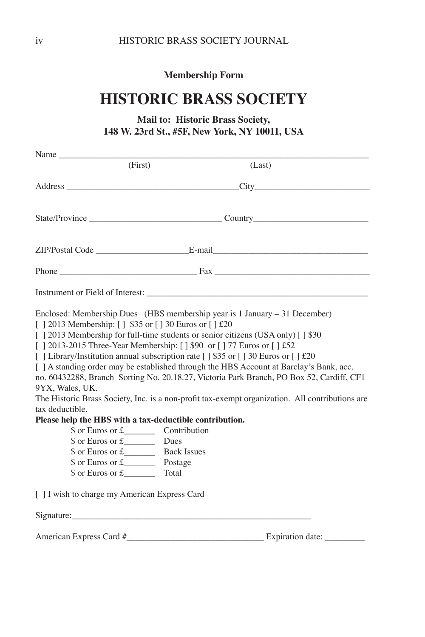**Membership Form**

# **HISTORIC BRASS SOCIETY**

# **Mail to: Historic Brass Society, 148 W. 23rd St., #5F, New York, NY 10011, USA**

| Name                                                                                                                                                                                                                                                                                                                                                                                                                                                |                                                     |                                                                                                                                                                                                                                                                                        |
|-----------------------------------------------------------------------------------------------------------------------------------------------------------------------------------------------------------------------------------------------------------------------------------------------------------------------------------------------------------------------------------------------------------------------------------------------------|-----------------------------------------------------|----------------------------------------------------------------------------------------------------------------------------------------------------------------------------------------------------------------------------------------------------------------------------------------|
| (First)                                                                                                                                                                                                                                                                                                                                                                                                                                             |                                                     | (Last)                                                                                                                                                                                                                                                                                 |
|                                                                                                                                                                                                                                                                                                                                                                                                                                                     |                                                     | Address City City                                                                                                                                                                                                                                                                      |
|                                                                                                                                                                                                                                                                                                                                                                                                                                                     |                                                     |                                                                                                                                                                                                                                                                                        |
|                                                                                                                                                                                                                                                                                                                                                                                                                                                     |                                                     |                                                                                                                                                                                                                                                                                        |
|                                                                                                                                                                                                                                                                                                                                                                                                                                                     |                                                     |                                                                                                                                                                                                                                                                                        |
| Instrument or Field of Interest:                                                                                                                                                                                                                                                                                                                                                                                                                    |                                                     |                                                                                                                                                                                                                                                                                        |
| Enclosed: Membership Dues (HBS membership year is $1$ January $-31$ December)<br>[] 2013 Membership: [] \$35 or [] 30 Euros or [] £20<br>[   2013 Membership for full-time students or senior citizens (USA only) [   \$30<br>[   2013-2015 Three-Year Membership: [   \$90 or [   77 Euros or [   £52<br>[ ] Library/Institution annual subscription rate [ ] \$35 or [ ] 30 Euros or [ ] $\text{\pounds}20$<br>9YX, Wales, UK.<br>tax deductible. |                                                     | [ ] A standing order may be established through the HBS Account at Barclay's Bank, acc.<br>no. 60432288, Branch Sorting No. 20.18.27, Victoria Park Branch, PO Box 52, Cardiff, CF1<br>The Historic Brass Society, Inc. is a non-profit tax-exempt organization. All contributions are |
| Please help the HBS with a tax-deductible contribution.<br>$\text{\$ or Euros or f}\$<br>$\text{\$ or Euros or f}\$<br>$\text{\$ or Euros or\ £}$<br>$\text{\$ or Euros or\ £}$ Postage                                                                                                                                                                                                                                                             | Contribution<br>Dues<br><b>Back Issues</b><br>Total |                                                                                                                                                                                                                                                                                        |
| [ ] I wish to charge my American Express Card                                                                                                                                                                                                                                                                                                                                                                                                       |                                                     |                                                                                                                                                                                                                                                                                        |
|                                                                                                                                                                                                                                                                                                                                                                                                                                                     |                                                     |                                                                                                                                                                                                                                                                                        |
| American Express Card #                                                                                                                                                                                                                                                                                                                                                                                                                             |                                                     | Expiration date:                                                                                                                                                                                                                                                                       |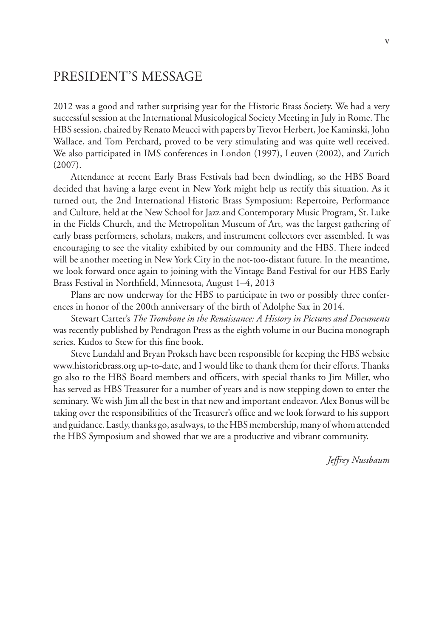# PRESIDENT'S MESSAGE

2012 was a good and rather surprising year for the Historic Brass Society. We had a very successful session at the International Musicological Society Meeting in July in Rome. The HBS session, chaired by Renato Meucci with papers by Trevor Herbert, Joe Kaminski, John Wallace, and Tom Perchard, proved to be very stimulating and was quite well received. We also participated in IMS conferences in London (1997), Leuven (2002), and Zurich (2007).

Attendance at recent Early Brass Festivals had been dwindling, so the HBS Board decided that having a large event in New York might help us rectify this situation. As it turned out, the 2nd International Historic Brass Symposium: Repertoire, Performance and Culture, held at the New School for Jazz and Contemporary Music Program, St. Luke in the Fields Church, and the Metropolitan Museum of Art, was the largest gathering of early brass performers, scholars, makers, and instrument collectors ever assembled. It was encouraging to see the vitality exhibited by our community and the HBS. There indeed will be another meeting in New York City in the not-too-distant future. In the meantime, we look forward once again to joining with the Vintage Band Festival for our HBS Early Brass Festival in Northfield, Minnesota, August 1–4, 2013

Plans are now underway for the HBS to participate in two or possibly three conferences in honor of the 200th anniversary of the birth of Adolphe Sax in 2014.

Stewart Carter's *The Trombone in the Renaissance: A History in Pictures and Documents* was recently published by Pendragon Press as the eighth volume in our Bucina monograph series. Kudos to Stew for this fine book.

Steve Lundahl and Bryan Proksch have been responsible for keeping the HBS website www.historicbrass.org up-to-date, and I would like to thank them for their efforts. Thanks go also to the HBS Board members and officers, with special thanks to Jim Miller, who has served as HBS Treasurer for a number of years and is now stepping down to enter the seminary. We wish Jim all the best in that new and important endeavor. Alex Bonus will be taking over the responsibilities of the Treasurer's office and we look forward to his support and guidance. Lastly, thanks go, as always, to the HBS membership, many of whom attended the HBS Symposium and showed that we are a productive and vibrant community.

*Jeffrey Nussbaum*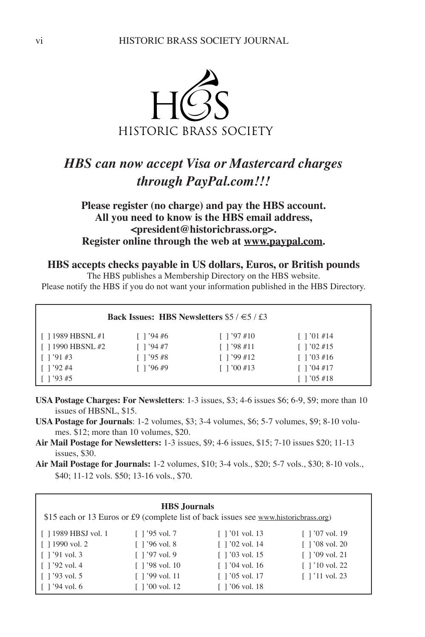

# *HBS can now accept Visa or Mastercard charges through PayPal.com!!!*

# **Please register (no charge) and pay the HBS account. All you need to know is the HBS email address, <president@historicbrass.org>. Register online through the web at www.paypal.com.**

**HBS accepts checks payable in US dollars, Euros, or British pounds**

The HBS publishes a Membership Directory on the HBS website. Please notify the HBS if you do not want your information published in the HBS Directory.

| Back Issues: HBS Newsletters $$5 / \in 5 / £3$ |                   |                                  |                                        |  |
|------------------------------------------------|-------------------|----------------------------------|----------------------------------------|--|
| $\lceil$ 1989 HBSNL #1                         | $\lceil$ 1 '94 #6 | $\lceil 1'97 \text{ #}10 \rceil$ | $\lceil$ 1 '01 #14                     |  |
| $\lceil$ 1990 HBSNL #2                         | $\lceil$ 1 '94 #7 | $\lceil$ 1 '98 #11               | $\lceil$ 1 '02 #15                     |  |
| $\lceil$ 1 '91 #3                              | $\lceil$ 1 '95 #8 | $\lceil$ 1 '99 #12               | $\lceil 1'03 \text{ #}16 \rceil$       |  |
| $1'$ 1 '92 #4                                  | $1'$ '96 #9       | $\lceil 1'00 \text{ #}13 \rceil$ | $\lceil 1 \cdot 04 \cdot \# 17 \rceil$ |  |
| $\lceil$ 1 '93 #5                              |                   |                                  | $\lceil 1 \rceil$ '05 #18              |  |

- **USA Postage Charges: For Newsletters**: 1-3 issues, \$3; 4-6 issues \$6; 6-9, \$9; more than 10 issues of HBSNL, \$15.
- **USA Postage for Journals**: 1-2 volumes, \$3; 3-4 volumes, \$6; 5-7 volumes, \$9; 8-10 volumes. \$12; more than 10 volumes, \$20.
- **Air Mail Postage for Newsletters:** 1-3 issues, \$9; 4-6 issues, \$15; 7-10 issues \$20; 11-13 issues, \$30.
- **Air Mail Postage for Journals:** 1-2 volumes, \$10; 3-4 vols., \$20; 5-7 vols., \$30; 8-10 vols., \$40; 11-12 vols. \$50; 13-16 vols., \$70.

| <b>HBS</b> Journals<br>\$15 each or 13 Euros or £9 (complete list of back issues see www.historicbrass.org) |                                      |                                      |                        |  |
|-------------------------------------------------------------------------------------------------------------|--------------------------------------|--------------------------------------|------------------------|--|
| $\lceil$ 1989 HBSJ vol. 1                                                                                   | $\lceil$ 1'95 vol. 7                 | $\lceil$ 1'01 vol. 13                | $\lceil$ 1'07 vol. 19  |  |
| $\lceil$ 1990 vol. 2                                                                                        | $\lceil$ 1'96 vol. 8                 | $\lceil$ 1'02 vol. 14                | $\lceil$ 1'08 vol. 20  |  |
| $\lceil$ 1'91 vol. 3                                                                                        | $\lceil$ 1 '97 vol. 9                | $\lceil$ 1'03 vol. 15                | $\lceil$ 1 '09 vol. 21 |  |
| $\lceil$ 1'92 vol. 4                                                                                        | $\lceil$ 1'98 vol. 10                | $\lceil$ 1'04 vol. 16                | $\lceil$ 1'10 vol. 22  |  |
| $\lceil$ 1'93 vol. 5                                                                                        | $\lceil$ 1'99 vol. 11                | $\lceil$ 1'05 vol. 17                | $\lceil$ 1'11 vol. 23  |  |
| $\lceil$ 1 '94 vol. 6                                                                                       | $\lceil 1'00 \text{ vol.} \rceil$ 12 | $\lceil 1'06 \text{ vol.} 18 \rceil$ |                        |  |